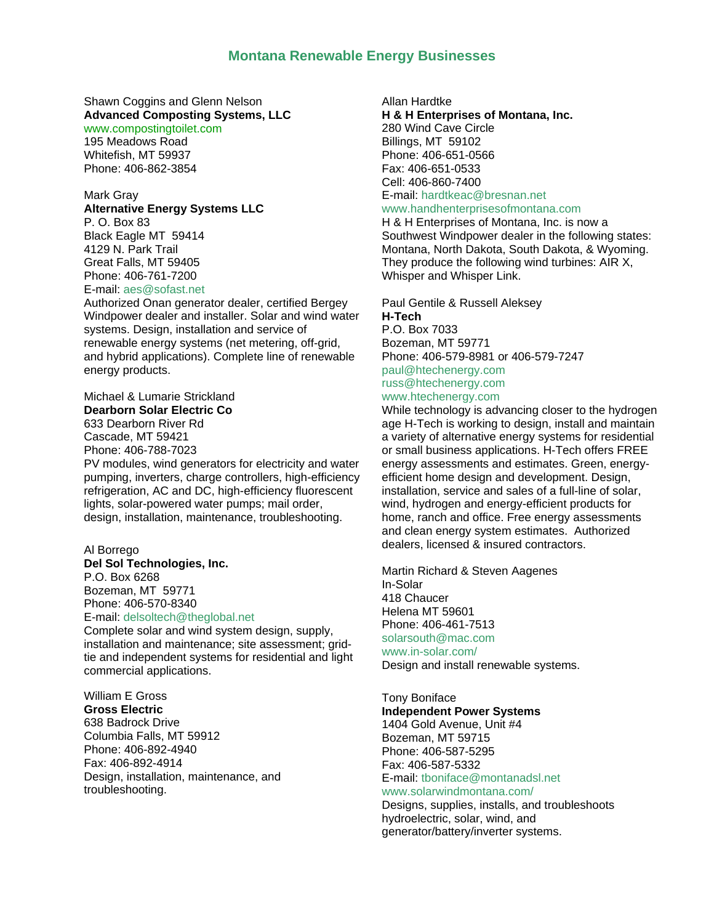### **Montana Renewable Energy Businesses**

Shawn Coggins and Glenn Nelson **Advanced Composting Systems, LLC** [www.compostingtoilet.com](http://www.compostingtoilet.com/)

195 Meadows Road Whitefish, MT 59937 Phone: 406-862-3854

### Mark Gray

### **Alternative Energy Systems LLC**

P. O. Box 83 Black Eagle MT 59414 4129 N. Park Trail Great Falls, MT 59405 Phone: 406-761-7200 E-mail: [aes@sofast.net](mailto:aes@sofast.net)

Authorized Onan generator dealer, certified Bergey Windpower dealer and installer. Solar and wind water systems. Design, installation and service of renewable energy systems (net metering, off-grid, and hybrid applications). Complete line of renewable energy products.

#### Michael & Lumarie Strickland **Dearborn Solar Electric Co**

633 Dearborn River Rd Cascade, MT 59421 Phone: 406-788-7023

PV modules, wind generators for electricity and water pumping, inverters, charge controllers, high-efficiency refrigeration, AC and DC, high-efficiency fluorescent lights, solar-powered water pumps; mail order, design, installation, maintenance, troubleshooting.

### Al Borrego **Del Sol Technologies, Inc.** P.O. Box 6268 Bozeman, MT 59771

Phone: 406-570-8340 E-mail: [delsoltech@theglobal.net](mailto:delsoltech@theglobal.net) Complete solar and wind system design, supply,

installation and maintenance; site assessment; gridtie and independent systems for residential and light commercial applications.

### William E Gross **Gross Electric**

638 Badrock Drive Columbia Falls, MT 59912 Phone: 406-892-4940 Fax: 406-892-4914 Design, installation, maintenance, and troubleshooting.

### Allan Hardtke **H & H Enterprises of Montana, Inc.** 280 Wind Cave Circle Billings, MT 59102 Phone: 406-651-0566 Fax: 406-651-0533 Cell: 406-860-7400 E-mail: [hardtkeac@bresnan.net](mailto:hardtkeac@bresnan.net)

# [www.handhenterprisesofmontana.com](http://www.handhenterprisesofmontana.com/)

H & H Enterprises of Montana, Inc. is now a Southwest Windpower dealer in the following states: Montana, North Dakota, South Dakota, & Wyoming. They produce the following wind turbines: AIR X, Whisper and Whisper Link.

Paul Gentile & Russell Aleksey **H-Tech**

P.O. Box 7033 Bozeman, MT 59771 Phone: 406-579-8981 or 406-579-7247 [paul@htechenergy.com](mailto:paul@htechenergy.com) russ@htechenergy.com

### [www.htechenergy.com](http://www.htechenergy.com/)

While technology is advancing closer to the hydrogen age H-Tech is working to design, install and maintain a variety of alternative energy systems for residential or small business applications. H-Tech offers FREE energy assessments and estimates. Green, energyefficient home design and development. Design, installation, service and sales of a full-line of solar, wind, hydrogen and energy-efficient products for home, ranch and office. Free energy assessments and clean energy system estimates. Authorized dealers, licensed & insured contractors.

Martin Richard & Steven Aagenes In-Solar 418 Chaucer Helena MT 59601 Phone: 406-461-7513 solarsouth@mac.com [www.in-solar.com/](http://www.in-solar.com/) Design and install renewable systems.

# Tony Boniface

**Independent Power Systems**  1404 Gold Avenue, Unit #4 Bozeman, MT 59715 Phone: 406-587-5295 Fax: 406-587-5332 E-mail: [tboniface@montanadsl.net](mailto:tboniface@imt.net) [www.solarwindmontana.com/](http://www.solarwindmontana.com/)

Designs, supplies, installs, and troubleshoots hydroelectric, solar, wind, and generator/battery/inverter systems.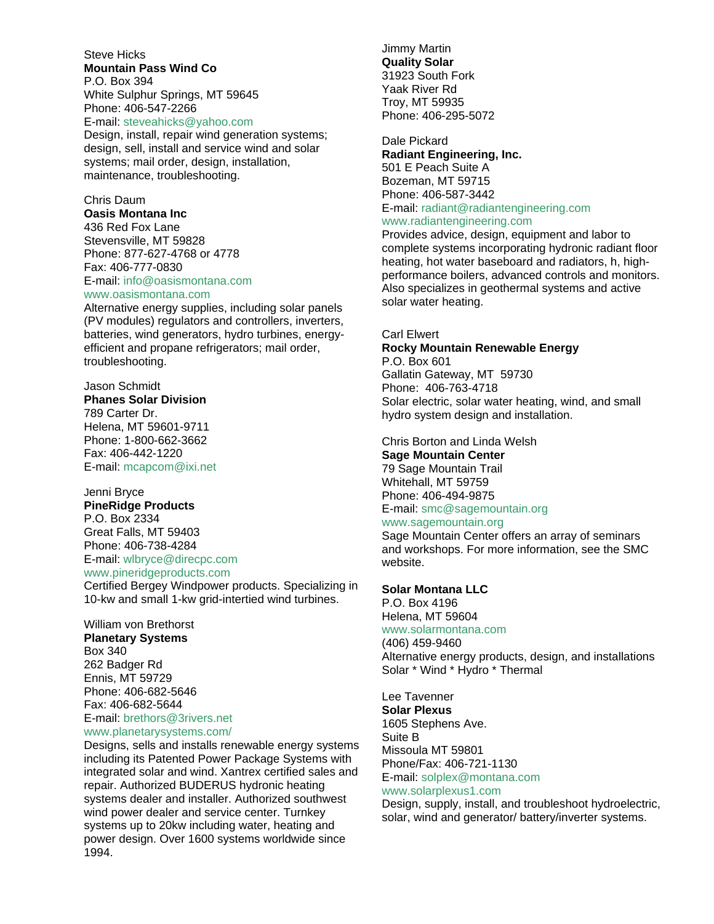Steve Hicks **Mountain Pass Wind Co** 

P.O. Box 394 White Sulphur Springs, MT 59645 Phone: 406-547-2266

E-mail: [steveahicks@yahoo.com](mailto:steveahicks@yahoo.com)

Design, install, repair wind generation systems; design, sell, install and service wind and solar systems; mail order, design, installation, maintenance, troubleshooting.

### Chris Daum

**Oasis Montana Inc** 436 Red Fox Lane Stevensville, MT 59828 Phone: 877-627-4768 or 4778 Fax: 406-777-0830 E-mail: [info@oasismontana.com](mailto:info@oasismontana.com) [www.oasismontana.com](http://www.oasismontana.com/)

Alternative energy supplies, including solar panels (PV modules) regulators and controllers, inverters, batteries, wind generators, hydro turbines, energyefficient and propane refrigerators; mail order, troubleshooting.

### Jason Schmidt

**Phanes Solar Division** 789 Carter Dr. Helena, MT 59601-9711 Phone: 1-800-662-3662 Fax: 406-442-1220 E-mail: [mcapcom@ixi.net](mailto:mcapcom@ixi.net)

#### Jenni Bryce **PineRidge Products**

P.O. Box 2334 Great Falls, MT 59403 Phone: 406-738-4284 E-mail: [wlbryce@direcpc.com](mailto:wlbryce@direcpc.com)

### [www.pineridgeproducts.com](http://www.pineridgeproducts.com/)

Certified Bergey Windpower products. Specializing in 10-kw and small 1-kw grid-intertied wind turbines.

### William von Brethorst **Planetary Systems** Box 340 262 Badger Rd Ennis, MT 59729 Phone: 406-682-5646 Fax: 406-682-5644

E-mail: [brethors@3rivers.net](mailto:brethors@3rivers.net) [www.planetarysystems.com/](http://www.planetarysystems.com/)

Designs, sells and installs renewable energy systems including its Patented Power Package Systems with integrated solar and wind. Xantrex certified sales and repair. Authorized BUDERUS hydronic heating systems dealer and installer. Authorized southwest wind power dealer and service center. Turnkey systems up to 20kw including water, heating and power design. Over 1600 systems worldwide since 1994.

Jimmy Martin **Quality Solar**  31923 South Fork Yaak River Rd Troy, MT 59935 Phone: 406-295-5072

### Dale Pickard **Radiant Engineering, Inc.**  501 E Peach Suite A Bozeman, MT 59715 Phone: 406-587-3442 E-mail: [radiant@radiantengineering.com](mailto:radiant@radiantengineering.com)

### [www.radiantengineering.com](http://www.radiantengineering.com/)

Provides advice, design, equipment and labor to complete systems incorporating hydronic radiant floor heating, hot water baseboard and radiators, h, highperformance boilers, advanced controls and monitors. Also specializes in geothermal systems and active solar water heating.

### Carl Elwert

### **Rocky Mountain Renewable Energy**  P.O. Box 601

Gallatin Gateway, MT 59730 Phone: 406-763-4718 Solar electric, solar water heating, wind, and small hydro system design and installation.

### Chris Borton and Linda Welsh **Sage Mountain Center**  79 Sage Mountain Trail Whitehall, MT 59759 Phone: 406-494-9875

E-mail: [smc@sagemountain.org](mailto:smc@sagemountain.org)

### [www.sagemountain.org](http://www.sagemountain.org/)

Sage Mountain Center offers an array of seminars and workshops. For more information, see the SMC website.

### **Solar Montana LLC**

P.O. Box 4196 Helena, MT 59604 [www.solarmontana.com](http://www.solarmontana.com/) (406) 459-9460 Alternative energy products, design, and installations Solar \* Wind \* Hydro \* Thermal

# Lee Tavenner

**Solar Plexus**  1605 Stephens Ave. Suite B Missoula MT 59801 Phone/Fax: 406-721-1130 E-mail: [solplex@montana.com](mailto:solplex@montana.com) [www.solarplexus1.com](http://www.solarplexus1.com/)

Design, supply, install, and troubleshoot hydroelectric, solar, wind and generator/ battery/inverter systems.